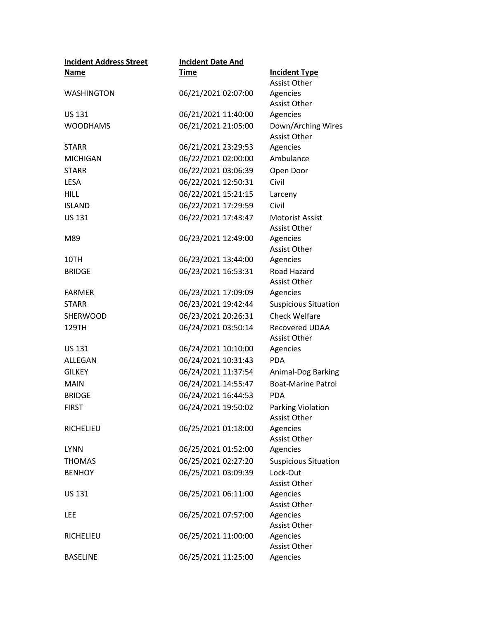| <b>Incident Address Street</b> | <b>Incident Date And</b> |                                           |
|--------------------------------|--------------------------|-------------------------------------------|
| Name                           | <b>Time</b>              | <b>Incident Type</b>                      |
|                                |                          | <b>Assist Other</b>                       |
| <b>WASHINGTON</b>              | 06/21/2021 02:07:00      | Agencies                                  |
|                                |                          | <b>Assist Other</b>                       |
| <b>US 131</b>                  | 06/21/2021 11:40:00      | Agencies                                  |
| <b>WOODHAMS</b>                | 06/21/2021 21:05:00      | Down/Arching Wires<br><b>Assist Other</b> |
| <b>STARR</b>                   | 06/21/2021 23:29:53      | Agencies                                  |
| <b>MICHIGAN</b>                | 06/22/2021 02:00:00      | Ambulance                                 |
| <b>STARR</b>                   | 06/22/2021 03:06:39      | Open Door                                 |
| <b>LESA</b>                    | 06/22/2021 12:50:31      | Civil                                     |
| <b>HILL</b>                    | 06/22/2021 15:21:15      | Larceny                                   |
| <b>ISLAND</b>                  | 06/22/2021 17:29:59      | Civil                                     |
| <b>US 131</b>                  | 06/22/2021 17:43:47      | <b>Motorist Assist</b>                    |
|                                |                          | <b>Assist Other</b>                       |
| M89                            | 06/23/2021 12:49:00      | Agencies                                  |
|                                |                          | <b>Assist Other</b>                       |
| 10TH                           | 06/23/2021 13:44:00      | Agencies                                  |
| <b>BRIDGE</b>                  | 06/23/2021 16:53:31      | Road Hazard                               |
|                                |                          | <b>Assist Other</b>                       |
| <b>FARMER</b>                  | 06/23/2021 17:09:09      | Agencies                                  |
| <b>STARR</b>                   | 06/23/2021 19:42:44      | <b>Suspicious Situation</b>               |
| <b>SHERWOOD</b>                | 06/23/2021 20:26:31      | <b>Check Welfare</b>                      |
| 129TH                          | 06/24/2021 03:50:14      | Recovered UDAA<br><b>Assist Other</b>     |
| <b>US 131</b>                  | 06/24/2021 10:10:00      | Agencies                                  |
| ALLEGAN                        | 06/24/2021 10:31:43      | <b>PDA</b>                                |
| <b>GILKEY</b>                  | 06/24/2021 11:37:54      | Animal-Dog Barking                        |
| <b>MAIN</b>                    | 06/24/2021 14:55:47      | <b>Boat-Marine Patrol</b>                 |
| <b>BRIDGE</b>                  | 06/24/2021 16:44:53      | <b>PDA</b>                                |
| <b>FIRST</b>                   | 06/24/2021 19:50:02      | Parking Violation                         |
|                                |                          | <b>Assist Other</b>                       |
| RICHELIEU                      | 06/25/2021 01:18:00      | Agencies                                  |
|                                |                          | <b>Assist Other</b>                       |
| <b>LYNN</b>                    | 06/25/2021 01:52:00      | Agencies                                  |
| <b>THOMAS</b>                  | 06/25/2021 02:27:20      | <b>Suspicious Situation</b>               |
| <b>BENHOY</b>                  | 06/25/2021 03:09:39      | Lock-Out                                  |
|                                |                          | <b>Assist Other</b>                       |
| <b>US 131</b>                  | 06/25/2021 06:11:00      | Agencies                                  |
|                                |                          | Assist Other                              |
| LEE                            | 06/25/2021 07:57:00      | Agencies<br>Assist Other                  |
| RICHELIEU                      | 06/25/2021 11:00:00      | Agencies                                  |
|                                |                          | Assist Other                              |
| <b>BASELINE</b>                | 06/25/2021 11:25:00      | Agencies                                  |